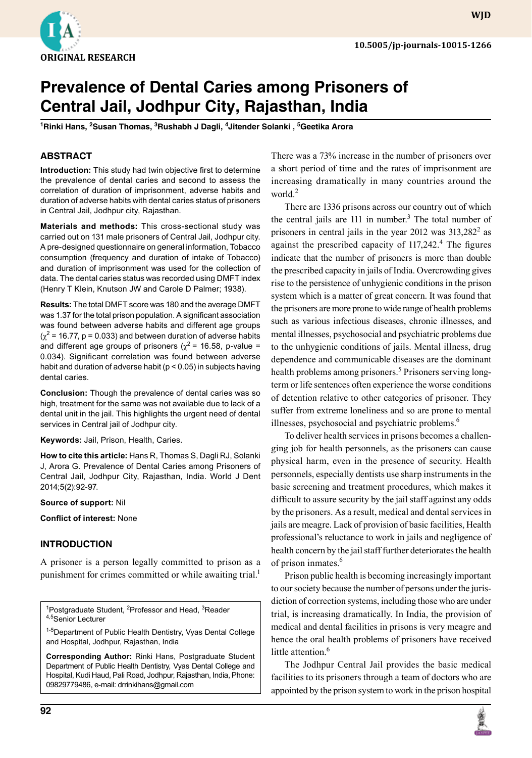

# **Prevalence of Dental Caries among Prisoners of Central Jail, Jodhpur City, Rajasthan, India**

<sup>1</sup>Rinki Hans, <sup>2</sup>Susan Thomas, <sup>3</sup>Rushabh J Dagli, <sup>4</sup>Jitender Solanki , <sup>5</sup>Geetika Arora

### **ABSTRACT**

**Introduction:** This study had twin objective first to determine the prevalence of dental caries and second to assess the correlation of duration of imprisonment, adverse habits and duration of adverse habits with dental caries status of prisoners in Central Jail, Jodhpur city, Rajasthan.

**Materials and methods:** This cross-sectional study was carried out on 131 male prisoners of Central Jail, Jodhpur city. A pre-designed questionnaire on general information, Tobacco consumption (frequency and duration of intake of Tobacco) and duration of imprisonment was used for the collection of data. The dental caries status was recorded using DMFT index (Henry T Klein, Knutson JW and Carole D Palmer; 1938).

**Results:** The total DMFT score was 180 and the average DMFT was 1.37 for the total prison population. A significant association was found between adverse habits and different age groups  $(\chi^2$  = 16.77, p = 0.033) and between duration of adverse habits and different age groups of prisoners ( $\gamma^2$  = 16.58, p-value = 0.034). Significant correlation was found between adverse habit and duration of adverse habit (p < 0.05) in subjects having dental caries.

**Conclusion:** Though the prevalence of dental caries was so high, treatment for the same was not available due to lack of a dental unit in the jail. This highlights the urgent need of dental services in Central jail of Jodhpur city.

#### **Keywords:** Jail, Prison, Health, Caries.

**How to cite this article:** Hans R, Thomas S, Dagli RJ, Solanki J, Arora G. Prevalence of Dental Caries among Prisoners of Central Jail, Jodhpur City, Rajasthan, India. World J Dent 2014;5(2):92-97.

#### **Source of support:** Nil

**Conflict of interest:** None

### **Introduction**

A prisoner is a person legally committed to prison as a punishment for crimes committed or while awaiting trial.<sup>1</sup>

<sup>1</sup>Postgraduate Student, <sup>2</sup>Professor and Head, <sup>3</sup>Reader 4,5Senior Lecturer

1-5Department of Public Health Dentistry, Vyas Dental College and Hospital, Jodhpur, Rajasthan, India

**Corresponding Author:** Rinki Hans, Postgraduate Student Department of Public Health Dentistry, Vyas Dental College and Hospital, Kudi Haud, Pali Road, Jodhpur, Rajasthan, India, Phone: 09829779486, e-mail: drrinkihans@gmail.com

There was a 73% increase in the number of prisoners over a short period of time and the rates of imprisonment are increasing dramatically in many countries around the world. $<sup>2</sup>$ </sup>

There are 1336 prisons across our country out of which the central jails are  $111$  in number.<sup>3</sup> The total number of prisoners in central jails in the year 2012 was  $313,282^2$  as against the prescribed capacity of  $117,242$ <sup>4</sup>. The figures indicate that the number of prisoners is more than double the prescribed capacity in jails of India. Overcrowding gives rise to the persistence of unhygienic conditions in the prison system which is a matter of great concern. It was found that the prisoners are more prone to wide range of health problems such as various infectious diseases, chronic illnesses, and mental illnesses, psychosocial and psychiatric problems due to the unhygienic conditions of jails. Mental illness, drug dependence and communicable diseases are the dominant health problems among prisoners.<sup>5</sup> Prisoners serving longterm or life sentences often experience the worse conditions of detention relative to other categories of prisoner. They suffer from extreme loneliness and so are prone to mental illnesses, psychosocial and psychiatric problems.<sup>6</sup>

To deliver health services in prisons becomes a challenging job for health personnels, as the prisoners can cause physical harm, even in the presence of security. Health personnels, especially dentists use sharp instruments in the basic screening and treatment procedures, which makes it difficult to assure security by the jail staff against any odds by the prisoners. As a result, medical and dental services in jails are meagre. Lack of provision of basic facilities, Health professional's reluctance to work in jails and negligence of health concern by the jail staff further deteriorates the health of prison inmates.<sup>6</sup>

Prison public health is becoming increasingly important to our society because the number of persons under the jurisdiction of correction systems, including those who are under trial, is increasing dramatically. In India, the provision of medical and dental facilities in prisons is very meagre and hence the oral health problems of prisoners have received little attention.<sup>6</sup>

The Jodhpur Central Jail provides the basic medical facilities to its prisoners through a team of doctors who are appointed by the prison system to work in the prison hospital



**wjd**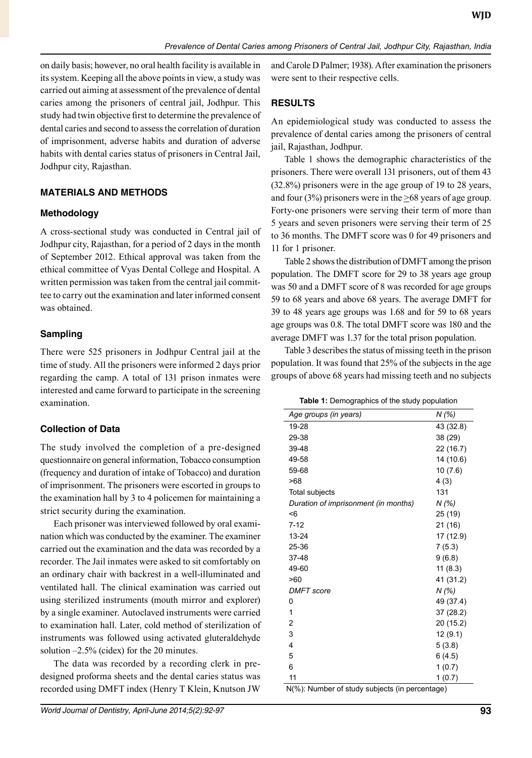on daily basis; however, no oral health facility is available in its system. Keeping all the above points in view, a study was carried out aiming at assessment of the prevalence of dental caries among the prisoners of central jail, Jodhpur. This study had twin objective first to determine the prevalence of dental caries and second to assess the correlation of duration of imprisonment, adverse habits and duration of adverse habits with dental caries status of prisoners in Central Jail, Jodhpur city, Rajasthan.

# **Materials and methods**

## **Methodology**

A cross-sectional study was conducted in Central jail of Jodhpur city, Rajasthan, for a period of 2 days in the month of September 2012. Ethical approval was taken from the ethical committee of Vyas Dental College and Hospital. A written permission was taken from the central jail committee to carry out the examination and later informed consent was obtained.

# **Sampling**

There were 525 prisoners in Jodhpur Central jail at the time of study. All the prisoners were informed 2 days prior regarding the camp. A total of 131 prison inmates were interested and came forward to participate in the screening examination.

# **Collection of Data**

The study involved the completion of a pre-designed questionnaire on general information, Tobacco consumption (frequency and duration of intake of Tobacco) and duration of imprisonment. The prisoners were escorted in groups to the examination hall by 3 to 4 policemen for maintaining a strict security during the examination.

Each prisoner was interviewed followed by oral examination which was conducted by the examiner. The examiner carried out the examination and the data was recorded by a recorder. The Jail inmates were asked to sit comfortably on an ordinary chair with backrest in a well-illuminated and ventilated hall. The clinical examination was carried out using sterilized instruments (mouth mirror and explorer) by a single examiner. Autoclaved instruments were carried to examination hall. Later, cold method of sterilization of instruments was followed using activated gluteraldehyde solution –2.5% (cidex) for the 20 minutes.

The data was recorded by a recording clerk in predesigned proforma sheets and the dental caries status was recorded using DMFT index (Henry T Klein, Knutson JW and Carole D Palmer; 1938). After examination the prisoners were sent to their respective cells.

# **Results**

An epidemiological study was conducted to assess the prevalence of dental caries among the prisoners of central jail, Rajasthan, Jodhpur.

Table 1 shows the demographic characteristics of the prisoners. There were overall 131 prisoners, out of them 43 (32.8%) prisoners were in the age group of 19 to 28 years, and four (3%) prisoners were in the  $\geq 68$  years of age group. Forty-one prisoners were serving their term of more than 5 years and seven prisoners were serving their term of 25 to 36 months. The DMFT score was 0 for 49 prisoners and 11 for 1 prisoner.

Table 2 shows the distribution of DMFT among the prison population. The DMFT score for 29 to 38 years age group was 50 and a DMFT score of 8 was recorded for age groups 59 to 68 years and above 68 years. The average DMFT for 39 to 48 years age groups was 1.68 and for 59 to 68 years age groups was 0.8. The total DMFT score was 180 and the average DMFT was 1.37 for the total prison population.

Table 3 describes the status of missing teeth in the prison population. It was found that 25% of the subjects in the age groups of above 68 years had missing teeth and no subjects

**Table 1:** Demographics of the study population

| nographics of the staay population.  |           |
|--------------------------------------|-----------|
| Age groups (in years)                | N (%)     |
| 19-28                                | 43 (32.8) |
| 29-38                                | 38 (29)   |
| 39-48                                | 22 (16.7) |
| 49-58                                | 14 (10.6) |
| 59-68                                | 10 (7.6)  |
| >68                                  | 4(3)      |
| Total subjects                       | 131       |
| Duration of imprisonment (in months) | N (%)     |
| <6                                   | 25 (19)   |
| $7 - 12$                             | 21 (16)   |
| 13-24                                | 17 (12.9) |
| 25-36                                | 7(5.3)    |
| 37-48                                | 9(6.8)    |
| 49-60                                | 11(8.3)   |
| >60                                  | 41 (31.2) |
| <b>DMFT</b> score                    | N (%)     |
| 0                                    | 49 (37.4) |
| 1                                    | 37 (28.2) |
| 2                                    | 20 (15.2) |
| 3                                    | 12(9.1)   |
| 4                                    | 5(3.8)    |
| 5                                    | 6(4.5)    |
| 6                                    | 1(0.7)    |
| 11                                   | 1(0.7)    |
|                                      |           |

N(%): Number of study subjects (in percentage)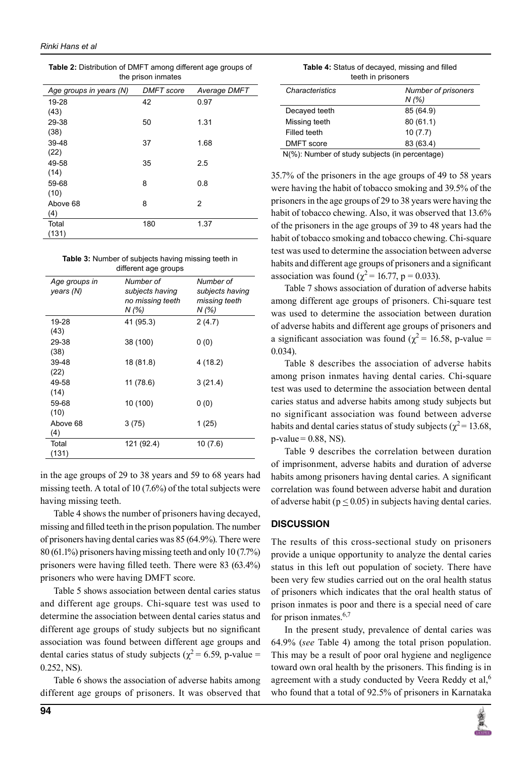| <b>Table 2:</b> Distribution of DMFT among different age groups of |                    |  |
|--------------------------------------------------------------------|--------------------|--|
|                                                                    | the prison inmates |  |

| Age groups in years (N) | <b>DMFT</b> score | Average DMFT |
|-------------------------|-------------------|--------------|
| 19-28                   | 42                | 0.97         |
| (43)                    |                   |              |
| 29-38                   | 50                | 1.31         |
| (38)                    |                   |              |
| 39-48                   | 37                | 1.68         |
| (22)                    |                   |              |
| 49-58                   | 35                | 2.5          |
| (14)<br>59-68           | 8                 | 0.8          |
| (10)                    |                   |              |
| Above 68                | 8                 | 2            |
| (4)                     |                   |              |
| Total                   | 180               | 1.37         |
| (131)                   |                   |              |

| <b>Table 3:</b> Number of subjects having missing teeth in |
|------------------------------------------------------------|
| different age groups                                       |

| Age groups in<br>years (N) | Number of<br>subjects having<br>no missing teeth<br>N (%) | Number of<br>subjects having<br>missing teeth<br>N(% |
|----------------------------|-----------------------------------------------------------|------------------------------------------------------|
| 19-28                      | 41 (95.3)                                                 | 2(4.7)                                               |
| (43)                       |                                                           |                                                      |
| 29-38                      | 38 (100)                                                  | 0(0)                                                 |
| (38)                       |                                                           |                                                      |
| 39-48                      | 18 (81.8)                                                 | 4(18.2)                                              |
| (22)                       |                                                           |                                                      |
| 49-58                      | 11 (78.6)                                                 | 3(21.4)                                              |
| (14)                       |                                                           |                                                      |
| 59-68                      | 10 (100)                                                  | 0(0)                                                 |
| (10)                       |                                                           |                                                      |
| Above 68                   | 3(75)                                                     | 1(25)                                                |
| (4)                        |                                                           |                                                      |
| Total                      | 121 (92.4)                                                | 10(7.6)                                              |
| (131)                      |                                                           |                                                      |

in the age groups of 29 to 38 years and 59 to 68 years had missing teeth. A total of 10 (7.6%) of the total subjects were having missing teeth.

Table 4 shows the number of prisoners having decayed, missing and filled teeth in the prison population. The number of prisoners having dental caries was 85 (64.9%). There were 80 (61.1%) prisoners having missing teeth and only 10 (7.7%) prisoners were having filled teeth. There were 83 (63.4%) prisoners who were having DMFT score.

Table 5 shows association between dental caries status and different age groups. Chi-square test was used to determine the association between dental caries status and different age groups of study subjects but no significant association was found between different age groups and dental caries status of study subjects ( $\chi^2$  = 6.59, p-value = 0.252, NS).

Table 6 shows the association of adverse habits among different age groups of prisoners. It was observed that

| Characteristics | Number of prisoners |
|-----------------|---------------------|
|                 | N(% )               |
| Decayed teeth   | 85 (64.9)           |
| Missing teeth   | 80(61.1)            |
| Filled teeth    | 10(7.7)             |
| DMFT score      | 83 (63.4)           |
| - - - - - - -   |                     |

N(%): Number of study subjects (in percentage)

35.7% of the prisoners in the age groups of 49 to 58 years were having the habit of tobacco smoking and 39.5% of the prisoners in the age groups of 29 to 38 years were having the habit of tobacco chewing. Also, it was observed that 13.6% of the prisoners in the age groups of 39 to 48 years had the habit of tobacco smoking and tobacco chewing. Chi-square test was used to determine the association between adverse habits and different age groups of prisoners and a significant association was found ( $\chi^2$  = 16.77, p = 0.033).

Table 7 shows association of duration of adverse habits among different age groups of prisoners. Chi-square test was used to determine the association between duration of adverse habits and different age groups of prisoners and a significant association was found ( $\chi^2$  = 16.58, p-value = 0.034).

Table 8 describes the association of adverse habits among prison inmates having dental caries. Chi-square test was used to determine the association between dental caries status and adverse habits among study subjects but no significant association was found between adverse habits and dental caries status of study subjects ( $\chi^2$  = 13.68,  $p$ -value =  $0.88$ , NS).

Table 9 describes the correlation between duration of imprisonment, adverse habits and duration of adverse habits among prisoners having dental caries. A significant correlation was found between adverse habit and duration of adverse habit ( $p \le 0.05$ ) in subjects having dental caries.

### **Discussion**

The results of this cross-sectional study on prisoners provide a unique opportunity to analyze the dental caries status in this left out population of society. There have been very few studies carried out on the oral health status of prisoners which indicates that the oral health status of prison inmates is poor and there is a special need of care for prison inmates. $6,7$ 

In the present study, prevalence of dental caries was 64.9% (*see* Table 4) among the total prison population. This may be a result of poor oral hygiene and negligence toward own oral health by the prisoners. This finding is in agreement with a study conducted by Veera Reddy et al,<sup>6</sup> who found that a total of 92.5% of prisoners in Karnataka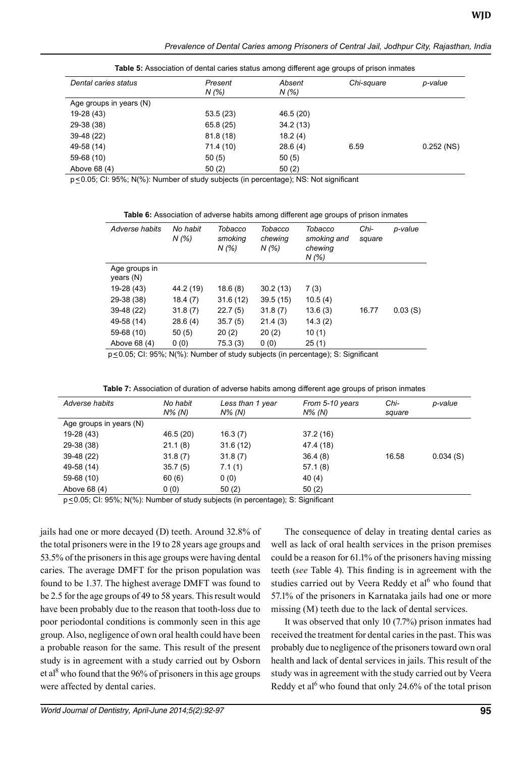**Table 5:** Association of dental caries status among different age groups of prison inmates

| Dental caries status    | Present   | Absent    | Chi-square | p-value      |
|-------------------------|-----------|-----------|------------|--------------|
|                         | N (%)     | N (%)     |            |              |
| Age groups in years (N) |           |           |            |              |
| 19-28 (43)              | 53.5(23)  | 46.5 (20) |            |              |
| 29-38 (38)              | 65.8 (25) | 34.2(13)  |            |              |
| 39-48 (22)              | 81.8(18)  | 18.2(4)   |            |              |
| 49-58 (14)              | 71.4 (10) | 28.6(4)   | 6.59       | $0.252$ (NS) |
| 59-68 (10)              | 50(5)     | 50(5)     |            |              |
| Above 68 (4)            | 50(2)     | 50(2)     |            |              |

p<0.05; CI: 95%; N(%): Number of study subjects (in percentage); NS: Not significant

**Table 6:** Association of adverse habits among different age groups of prison inmates

| Adverse habits             | No habit<br>N(% | Tobacco<br>smoking<br>N (%) | Tobacco<br>chewing<br>N(% | Tobacco<br>smoking and<br>chewing<br>N(% | Chi-<br>square | p-value |
|----------------------------|-----------------|-----------------------------|---------------------------|------------------------------------------|----------------|---------|
| Age groups in<br>years (N) |                 |                             |                           |                                          |                |         |
| 19-28 (43)                 | 44.2 (19)       | 18.6(8)                     | 30.2(13)                  | 7(3)                                     |                |         |
| 29-38 (38)                 | 18.4(7)         | 31.6(12)                    | 39.5(15)                  | 10.5(4)                                  |                |         |
| 39-48 (22)                 | 31.8(7)         | 22.7(5)                     | 31.8(7)                   | 13.6(3)                                  | 16.77          | 0.03(S) |
| 49-58 (14)                 | 28.6(4)         | 35.7(5)                     | 21.4(3)                   | 14.3(2)                                  |                |         |
| 59-68 (10)                 | 50(5)           | 20(2)                       | 20(2)                     | 10(1)                                    |                |         |
| Above 68 (4)               | 0(0)            | 75.3(3)                     | 0(0)                      | 25(1)                                    |                |         |

p<0.05; CI: 95%; N(%): Number of study subjects (in percentage); S: Significant

**Table 7:** Association of duration of adverse habits among different age groups of prison inmates

| Adverse habits          | No habit<br>$N\%$ (N) | Less than 1 year<br>N% (N) | From 5-10 years<br>$N\%$ (N) | Chi-<br>square | p-value  |
|-------------------------|-----------------------|----------------------------|------------------------------|----------------|----------|
| Age groups in years (N) |                       |                            |                              |                |          |
| 19-28 (43)              | 46.5 (20)             | 16.3(7)                    | 37.2(16)                     |                |          |
| 29-38 (38)              | 21.1(8)               | 31.6(12)                   | 47.4 (18)                    |                |          |
| 39-48 (22)              | 31.8(7)               | 31.8(7)                    | 36.4(8)                      | 16.58          | 0.034(S) |
| 49-58 (14)              | 35.7(5)               | 7.1(1)                     | 57.1(8)                      |                |          |
| 59-68 (10)              | 60(6)                 | 0(0)                       | 40 (4)                       |                |          |
| Above 68 (4)            | 0(0)                  | 50(2)                      | 50(2)                        |                |          |

p<0.05; CI: 95%; N(%): Number of study subjects (in percentage); S: Significant

jails had one or more decayed (D) teeth. Around 32.8% of the total prisoners were in the 19 to 28 years age groups and 53.5% of the prisoners in this age groups were having dental caries. The average DMFT for the prison population was found to be 1.37. The highest average DMFT was found to be 2.5 for the age groups of 49 to 58 years. This result would have been probably due to the reason that tooth-loss due to poor periodontal conditions is commonly seen in this age group. Also, negligence of own oral health could have been a probable reason for the same. This result of the present study is in agreement with a study carried out by Osborn et al<sup>8</sup> who found that the 96% of prisoners in this age groups were affected by dental caries.

The consequence of delay in treating dental caries as well as lack of oral health services in the prison premises could be a reason for 61.1% of the prisoners having missing teeth (*see* Table 4). This finding is in agreement with the studies carried out by Veera Reddy et al<sup>6</sup> who found that 57.1% of the prisoners in Karnataka jails had one or more missing (M) teeth due to the lack of dental services.

It was observed that only 10 (7.7%) prison inmates had received the treatment for dental caries in the past. This was probably due to negligence of the prisoners toward own oral health and lack of dental services in jails. This result of the study was in agreement with the study carried out by Veera Reddy et al<sup>6</sup> who found that only 24.6% of the total prison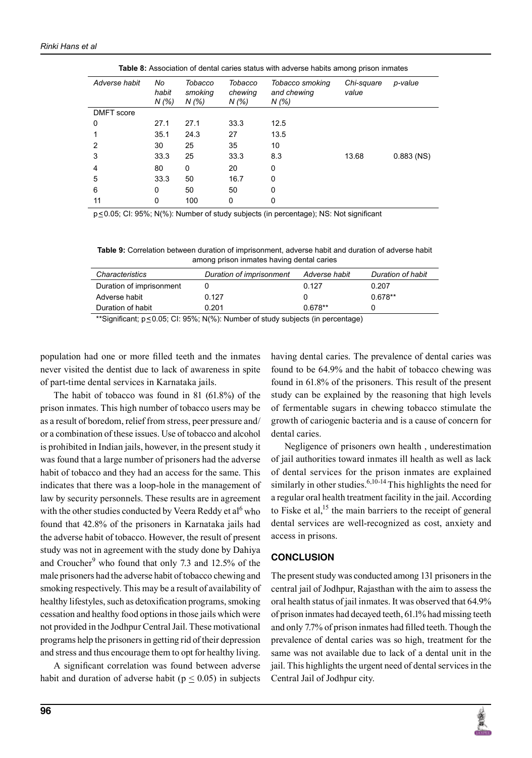| <b>Table 0.</b> Association of defital carles status with adverse habits among phson immates |                      |                             |                             |                                         |                     |              |
|----------------------------------------------------------------------------------------------|----------------------|-----------------------------|-----------------------------|-----------------------------------------|---------------------|--------------|
| Adverse habit                                                                                | No<br>habit<br>N (%) | Tobacco<br>smoking<br>N (%) | Tobacco<br>chewing<br>N (%) | Tobacco smoking<br>and chewing<br>N (%) | Chi-square<br>value | p-value      |
| DMFT score                                                                                   |                      |                             |                             |                                         |                     |              |
| 0                                                                                            | 27.1                 | 27.1                        | 33.3                        | 12.5                                    |                     |              |
|                                                                                              | 35.1                 | 24.3                        | 27                          | 13.5                                    |                     |              |
| 2                                                                                            | 30                   | 25                          | 35                          | 10                                      |                     |              |
| 3                                                                                            | 33.3                 | 25                          | 33.3                        | 8.3                                     | 13.68               | $0.883$ (NS) |
| 4                                                                                            | 80                   | 0                           | 20                          | 0                                       |                     |              |
| 5                                                                                            | 33.3                 | 50                          | 16.7                        | 0                                       |                     |              |
| 6                                                                                            | 0                    | 50                          | 50                          | 0                                       |                     |              |
| 11                                                                                           | 0                    | 100                         | 0                           | 0                                       |                     |              |

**Table 8:** Association of dental caries status with adverse habits among prison inmates

p<0.05; CI: 95%; N(%): Number of study subjects (in percentage); NS: Not significant

**Table 9:** Correlation between duration of imprisonment, adverse habit and duration of adverse habit among prison inmates having dental caries

| <i><b>Characteristics</b></i> | Duration of imprisonment | Adverse habit | Duration of habit |
|-------------------------------|--------------------------|---------------|-------------------|
| Duration of imprisonment      |                          | 0.127         | 0.207             |
| Adverse habit                 | 0.127                    |               | $0.678**$         |
| Duration of habit             | 0.201                    | $0.678**$     |                   |
|                               |                          |               |                   |

\*\*Significant; p<0.05; CI: 95%; N(%): Number of study subjects (in percentage)

population had one or more filled teeth and the inmates never visited the dentist due to lack of awareness in spite of part-time dental services in Karnataka jails.

The habit of tobacco was found in 81 (61.8%) of the prison inmates. This high number of tobacco users may be as a result of boredom, relief from stress, peer pressure and/ or a combination of these issues. Use of tobacco and alcohol is prohibited in Indian jails, however, in the present study it was found that a large number of prisoners had the adverse habit of tobacco and they had an access for the same. This indicates that there was a loop-hole in the management of law by security personnels. These results are in agreement with the other studies conducted by Veera Reddy et al<sup>6</sup> who found that 42.8% of the prisoners in Karnataka jails had the adverse habit of tobacco. However, the result of present study was not in agreement with the study done by Dahiya and Croucher<sup>9</sup> who found that only 7.3 and 12.5% of the male prisoners had the adverse habit of tobacco chewing and smoking respectively. This may be a result of availability of healthy lifestyles, such as detoxification programs, smoking cessation and healthy food options in those jails which were not provided in the Jodhpur Central Jail. These motivational programs help the prisoners in getting rid of their depression and stress and thus encourage them to opt for healthy living.

A significant correlation was found between adverse habit and duration of adverse habit ( $p \leq 0.05$ ) in subjects having dental caries. The prevalence of dental caries was found to be 64.9% and the habit of tobacco chewing was found in 61.8% of the prisoners. This result of the present study can be explained by the reasoning that high levels of fermentable sugars in chewing tobacco stimulate the growth of cariogenic bacteria and is a cause of concern for dental caries.

Negligence of prisoners own health , underestimation of jail authorities toward inmates ill health as well as lack of dental services for the prison inmates are explained similarly in other studies.  $6,10-14$  This highlights the need for a regular oral health treatment facility in the jail. According to Fiske et al, $^{15}$  the main barriers to the receipt of general dental services are well-recognized as cost, anxiety and access in prisons.

#### **Conclusion**

The present study was conducted among 131 prisoners in the central jail of Jodhpur, Rajasthan with the aim to assess the oral health status of jail inmates. It was observed that 64.9% of prison inmates had decayed teeth, 61.1% had missing teeth and only 7.7% of prison inmates had filled teeth. Though the prevalence of dental caries was so high, treatment for the same was not available due to lack of a dental unit in the jail. This highlights the urgent need of dental services in the Central Jail of Jodhpur city.